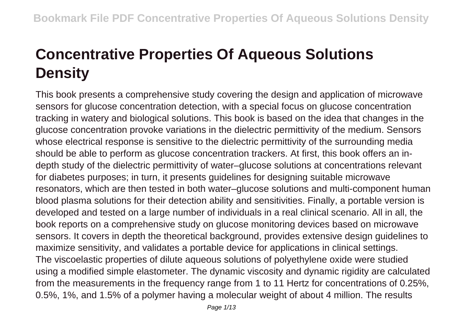## **Concentrative Properties Of Aqueous Solutions Density**

This book presents a comprehensive study covering the design and application of microwave sensors for glucose concentration detection, with a special focus on glucose concentration tracking in watery and biological solutions. This book is based on the idea that changes in the glucose concentration provoke variations in the dielectric permittivity of the medium. Sensors whose electrical response is sensitive to the dielectric permittivity of the surrounding media should be able to perform as glucose concentration trackers. At first, this book offers an indepth study of the dielectric permittivity of water–glucose solutions at concentrations relevant for diabetes purposes; in turn, it presents guidelines for designing suitable microwave resonators, which are then tested in both water–glucose solutions and multi-component human blood plasma solutions for their detection ability and sensitivities. Finally, a portable version is developed and tested on a large number of individuals in a real clinical scenario. All in all, the book reports on a comprehensive study on glucose monitoring devices based on microwave sensors. It covers in depth the theoretical background, provides extensive design guidelines to maximize sensitivity, and validates a portable device for applications in clinical settings. The viscoelastic properties of dilute aqueous solutions of polyethylene oxide were studied using a modified simple elastometer. The dynamic viscosity and dynamic rigidity are calculated from the measurements in the frequency range from 1 to 11 Hertz for concentrations of 0.25%, 0.5%, 1%, and 1.5% of a polymer having a molecular weight of about 4 million. The results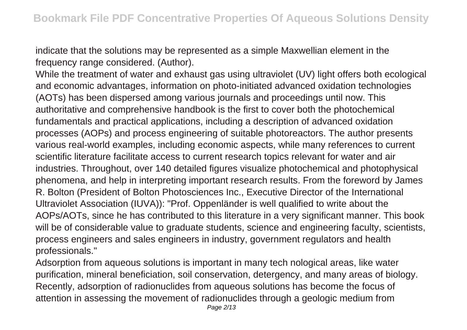indicate that the solutions may be represented as a simple Maxwellian element in the frequency range considered. (Author).

While the treatment of water and exhaust gas using ultraviolet (UV) light offers both ecological and economic advantages, information on photo-initiated advanced oxidation technologies (AOTs) has been dispersed among various journals and proceedings until now. This authoritative and comprehensive handbook is the first to cover both the photochemical fundamentals and practical applications, including a description of advanced oxidation processes (AOPs) and process engineering of suitable photoreactors. The author presents various real-world examples, including economic aspects, while many references to current scientific literature facilitate access to current research topics relevant for water and air industries. Throughout, over 140 detailed figures visualize photochemical and photophysical phenomena, and help in interpreting important research results. From the foreword by James R. Bolton (President of Bolton Photosciences Inc., Executive Director of the International Ultraviolet Association (IUVA)): "Prof. Oppenländer is well qualified to write about the AOPs/AOTs, since he has contributed to this literature in a very significant manner. This book will be of considerable value to graduate students, science and engineering faculty, scientists, process engineers and sales engineers in industry, government regulators and health professionals."

Adsorption from aqueous solutions is important in many tech nological areas, like water purification, mineral beneficiation, soil conservation, detergency, and many areas of biology. Recently, adsorption of radionuclides from aqueous solutions has become the focus of attention in assessing the movement of radionuclides through a geologic medium from Page 2/13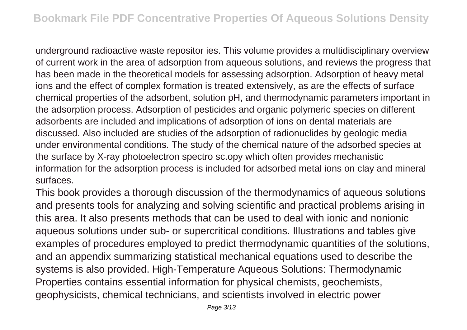underground radioactive waste repositor ies. This volume provides a multidisciplinary overview of current work in the area of adsorption from aqueous solutions, and reviews the progress that has been made in the theoretical models for assessing adsorption. Adsorption of heavy metal ions and the effect of complex formation is treated extensively, as are the effects of surface chemical properties of the adsorbent, solution pH, and thermodynamic parameters important in the adsorption process. Adsorption of pesticides and organic polymeric species on different adsorbents are included and implications of adsorption of ions on dental materials are discussed. Also included are studies of the adsorption of radionuclides by geologic media under environmental conditions. The study of the chemical nature of the adsorbed species at the surface by X-ray photoelectron spectro sc.opy which often provides mechanistic information for the adsorption process is included for adsorbed metal ions on clay and mineral surfaces.

This book provides a thorough discussion of the thermodynamics of aqueous solutions and presents tools for analyzing and solving scientific and practical problems arising in this area. It also presents methods that can be used to deal with ionic and nonionic aqueous solutions under sub- or supercritical conditions. Illustrations and tables give examples of procedures employed to predict thermodynamic quantities of the solutions, and an appendix summarizing statistical mechanical equations used to describe the systems is also provided. High-Temperature Aqueous Solutions: Thermodynamic Properties contains essential information for physical chemists, geochemists, geophysicists, chemical technicians, and scientists involved in electric power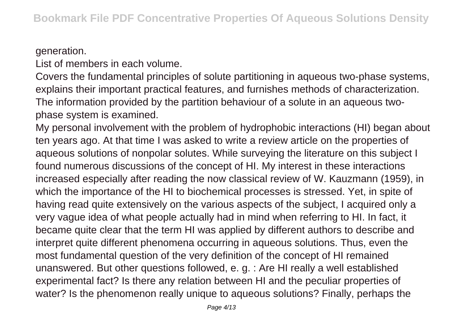## generation.

List of members in each volume.

Covers the fundamental principles of solute partitioning in aqueous two-phase systems, explains their important practical features, and furnishes methods of characterization. The information provided by the partition behaviour of a solute in an aqueous twophase system is examined.

My personal involvement with the problem of hydrophobic interactions (HI) began about ten years ago. At that time I was asked to write a review article on the properties of aqueous solutions of nonpolar solutes. While surveying the literature on this subject I found numerous discussions of the concept of HI. My interest in these interactions increased especially after reading the now classical review of W. Kauzmann (1959), in which the importance of the HI to biochemical processes is stressed. Yet, in spite of having read quite extensively on the various aspects of the subject, I acquired only a very vague idea of what people actually had in mind when referring to HI. In fact, it became quite clear that the term HI was applied by different authors to describe and interpret quite different phenomena occurring in aqueous solutions. Thus, even the most fundamental question of the very definition of the concept of HI remained unanswered. But other questions followed, e. g. : Are HI really a well established experimental fact? Is there any relation between HI and the peculiar properties of water? Is the phenomenon really unique to aqueous solutions? Finally, perhaps the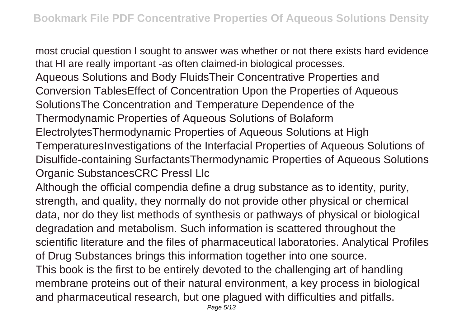most crucial question I sought to answer was whether or not there exists hard evidence that HI are really important -as often claimed-in biological processes. Aqueous Solutions and Body FluidsTheir Concentrative Properties and Conversion TablesEffect of Concentration Upon the Properties of Aqueous SolutionsThe Concentration and Temperature Dependence of the Thermodynamic Properties of Aqueous Solutions of Bolaform ElectrolytesThermodynamic Properties of Aqueous Solutions at High TemperaturesInvestigations of the Interfacial Properties of Aqueous Solutions of Disulfide-containing SurfactantsThermodynamic Properties of Aqueous Solutions Organic SubstancesCRC PressI Llc

Although the official compendia define a drug substance as to identity, purity, strength, and quality, they normally do not provide other physical or chemical data, nor do they list methods of synthesis or pathways of physical or biological degradation and metabolism. Such information is scattered throughout the scientific literature and the files of pharmaceutical laboratories. Analytical Profiles of Drug Substances brings this information together into one source. This book is the first to be entirely devoted to the challenging art of handling membrane proteins out of their natural environment, a key process in biological and pharmaceutical research, but one plagued with difficulties and pitfalls.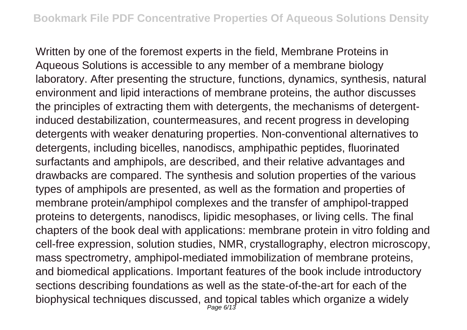Written by one of the foremost experts in the field, Membrane Proteins in Aqueous Solutions is accessible to any member of a membrane biology laboratory. After presenting the structure, functions, dynamics, synthesis, natural environment and lipid interactions of membrane proteins, the author discusses the principles of extracting them with detergents, the mechanisms of detergentinduced destabilization, countermeasures, and recent progress in developing detergents with weaker denaturing properties. Non-conventional alternatives to detergents, including bicelles, nanodiscs, amphipathic peptides, fluorinated surfactants and amphipols, are described, and their relative advantages and drawbacks are compared. The synthesis and solution properties of the various types of amphipols are presented, as well as the formation and properties of membrane protein/amphipol complexes and the transfer of amphipol-trapped proteins to detergents, nanodiscs, lipidic mesophases, or living cells. The final chapters of the book deal with applications: membrane protein in vitro folding and cell-free expression, solution studies, NMR, crystallography, electron microscopy, mass spectrometry, amphipol-mediated immobilization of membrane proteins, and biomedical applications. Important features of the book include introductory sections describing foundations as well as the state-of-the-art for each of the biophysical techniques discussed, and topical tables which organize a widely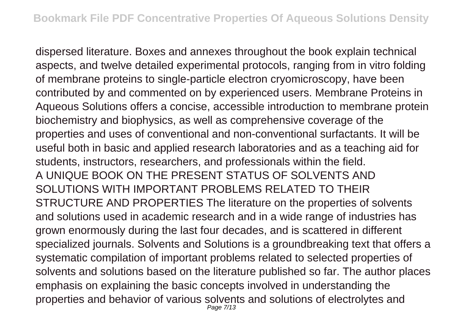dispersed literature. Boxes and annexes throughout the book explain technical aspects, and twelve detailed experimental protocols, ranging from in vitro folding of membrane proteins to single-particle electron cryomicroscopy, have been contributed by and commented on by experienced users. Membrane Proteins in Aqueous Solutions offers a concise, accessible introduction to membrane protein biochemistry and biophysics, as well as comprehensive coverage of the properties and uses of conventional and non-conventional surfactants. It will be useful both in basic and applied research laboratories and as a teaching aid for students, instructors, researchers, and professionals within the field. A UNIQUE BOOK ON THE PRESENT STATUS OF SOLVENTS AND SOLUTIONS WITH IMPORTANT PROBLEMS RELATED TO THEIR STRUCTURE AND PROPERTIES The literature on the properties of solvents and solutions used in academic research and in a wide range of industries has grown enormously during the last four decades, and is scattered in different specialized journals. Solvents and Solutions is a groundbreaking text that offers a systematic compilation of important problems related to selected properties of solvents and solutions based on the literature published so far. The author places emphasis on explaining the basic concepts involved in understanding the properties and behavior of various solvents and solutions of electrolytes and Page 7/13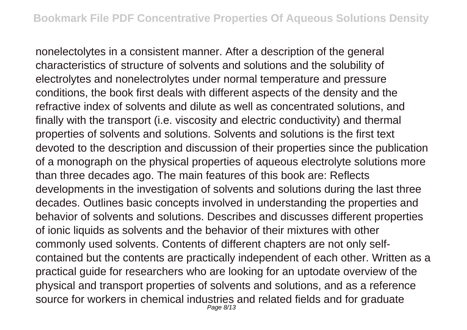nonelectolytes in a consistent manner. After a description of the general characteristics of structure of solvents and solutions and the solubility of electrolytes and nonelectrolytes under normal temperature and pressure conditions, the book first deals with different aspects of the density and the refractive index of solvents and dilute as well as concentrated solutions, and finally with the transport (i.e. viscosity and electric conductivity) and thermal properties of solvents and solutions. Solvents and solutions is the first text devoted to the description and discussion of their properties since the publication of a monograph on the physical properties of aqueous electrolyte solutions more than three decades ago. The main features of this book are: Reflects developments in the investigation of solvents and solutions during the last three decades. Outlines basic concepts involved in understanding the properties and behavior of solvents and solutions. Describes and discusses different properties of ionic liquids as solvents and the behavior of their mixtures with other commonly used solvents. Contents of different chapters are not only selfcontained but the contents are practically independent of each other. Written as a practical guide for researchers who are looking for an uptodate overview of the physical and transport properties of solvents and solutions, and as a reference source for workers in chemical industries and related fields and for graduate Page 8/13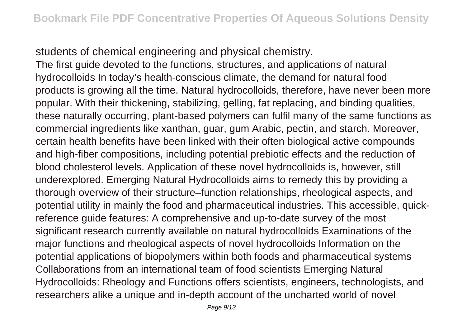students of chemical engineering and physical chemistry.

The first guide devoted to the functions, structures, and applications of natural hydrocolloids In today's health-conscious climate, the demand for natural food products is growing all the time. Natural hydrocolloids, therefore, have never been more popular. With their thickening, stabilizing, gelling, fat replacing, and binding qualities, these naturally occurring, plant-based polymers can fulfil many of the same functions as commercial ingredients like xanthan, guar, gum Arabic, pectin, and starch. Moreover, certain health benefits have been linked with their often biological active compounds and high-fiber compositions, including potential prebiotic effects and the reduction of blood cholesterol levels. Application of these novel hydrocolloids is, however, still underexplored. Emerging Natural Hydrocolloids aims to remedy this by providing a thorough overview of their structure–function relationships, rheological aspects, and potential utility in mainly the food and pharmaceutical industries. This accessible, quickreference guide features: A comprehensive and up-to-date survey of the most significant research currently available on natural hydrocolloids Examinations of the major functions and rheological aspects of novel hydrocolloids Information on the potential applications of biopolymers within both foods and pharmaceutical systems Collaborations from an international team of food scientists Emerging Natural Hydrocolloids: Rheology and Functions offers scientists, engineers, technologists, and researchers alike a unique and in-depth account of the uncharted world of novel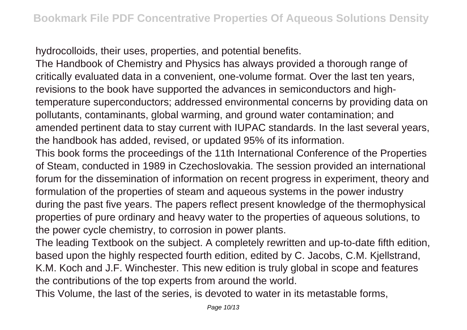hydrocolloids, their uses, properties, and potential benefits.

The Handbook of Chemistry and Physics has always provided a thorough range of critically evaluated data in a convenient, one-volume format. Over the last ten years, revisions to the book have supported the advances in semiconductors and hightemperature superconductors; addressed environmental concerns by providing data on pollutants, contaminants, global warming, and ground water contamination; and amended pertinent data to stay current with IUPAC standards. In the last several years, the handbook has added, revised, or updated 95% of its information.

This book forms the proceedings of the 11th International Conference of the Properties of Steam, conducted in 1989 in Czechoslovakia. The session provided an international forum for the dissemination of information on recent progress in experiment, theory and formulation of the properties of steam and aqueous systems in the power industry during the past five years. The papers reflect present knowledge of the thermophysical properties of pure ordinary and heavy water to the properties of aqueous solutions, to the power cycle chemistry, to corrosion in power plants.

The leading Textbook on the subject. A completely rewritten and up-to-date fifth edition, based upon the highly respected fourth edition, edited by C. Jacobs, C.M. Kjellstrand, K.M. Koch and J.F. Winchester. This new edition is truly global in scope and features the contributions of the top experts from around the world.

This Volume, the last of the series, is devoted to water in its metastable forms,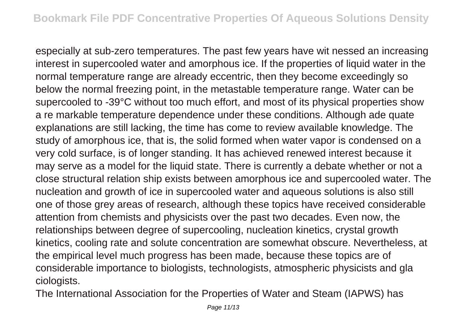especially at sub-zero temperatures. The past few years have wit nessed an increasing interest in supercooled water and amorphous ice. If the properties of liquid water in the normal temperature range are already eccentric, then they become exceedingly so below the normal freezing point, in the metastable temperature range. Water can be supercooled to -39°C without too much effort, and most of its physical properties show a re markable temperature dependence under these conditions. Although ade quate explanations are still lacking, the time has come to review available knowledge. The study of amorphous ice, that is, the solid formed when water vapor is condensed on a very cold surface, is of longer standing. It has achieved renewed interest because it may serve as a model for the liquid state. There is currently a debate whether or not a close structural relation ship exists between amorphous ice and supercooled water. The nucleation and growth of ice in supercooled water and aqueous solutions is also still one of those grey areas of research, although these topics have received considerable attention from chemists and physicists over the past two decades. Even now, the relationships between degree of supercooling, nucleation kinetics, crystal growth kinetics, cooling rate and solute concentration are somewhat obscure. Nevertheless, at the empirical level much progress has been made, because these topics are of considerable importance to biologists, technologists, atmospheric physicists and gla ciologists.

The International Association for the Properties of Water and Steam (IAPWS) has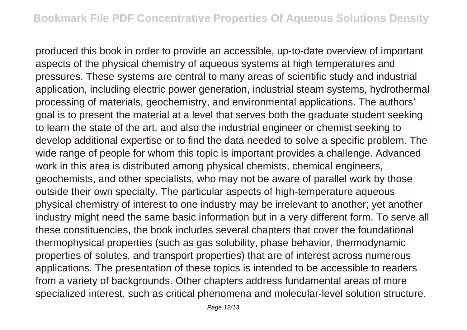produced this book in order to provide an accessible, up-to-date overview of important aspects of the physical chemistry of aqueous systems at high temperatures and pressures. These systems are central to many areas of scientific study and industrial application, including electric power generation, industrial steam systems, hydrothermal processing of materials, geochemistry, and environmental applications. The authors' goal is to present the material at a level that serves both the graduate student seeking to learn the state of the art, and also the industrial engineer or chemist seeking to develop additional expertise or to find the data needed to solve a specific problem. The wide range of people for whom this topic is important provides a challenge. Advanced work in this area is distributed among physical chemists, chemical engineers, geochemists, and other specialists, who may not be aware of parallel work by those outside their own specialty. The particular aspects of high-temperature aqueous physical chemistry of interest to one industry may be irrelevant to another; yet another industry might need the same basic information but in a very different form. To serve all these constituencies, the book includes several chapters that cover the foundational thermophysical properties (such as gas solubility, phase behavior, thermodynamic properties of solutes, and transport properties) that are of interest across numerous applications. The presentation of these topics is intended to be accessible to readers from a variety of backgrounds. Other chapters address fundamental areas of more specialized interest, such as critical phenomena and molecular-level solution structure.